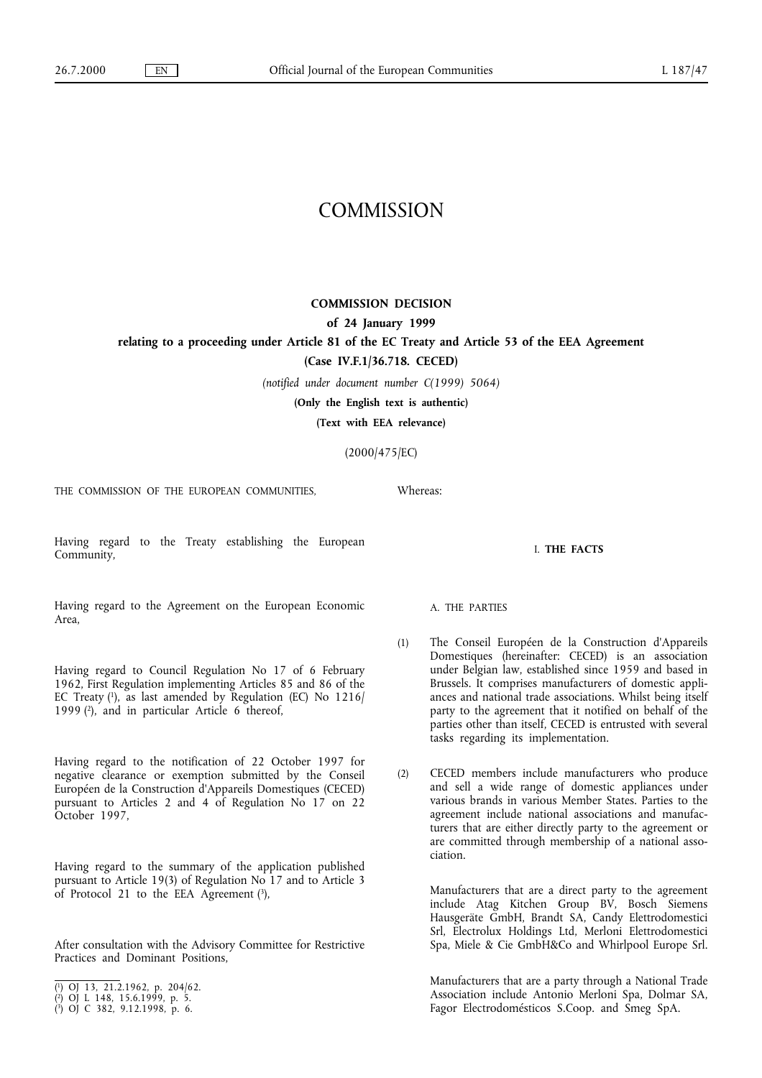# **COMMISSION**

# **COMMISSION DECISION**

### **of 24 January 1999**

**relating to a proceeding under Article 81 of the EC Treaty and Article 53 of the EEA Agreement (Case IV.F.1/36.718. CECED)**

*(notified under document number C(1999) 5064)*

### **(Only the English text is authentic)**

**(Text with EEA relevance)**

(2000/475/EC)

Whereas:

THE COMMISSION OF THE EUROPEAN COMMUNITIES.

Having regard to the Treaty establishing the European Community,

Having regard to the Agreement on the European Economic Area,

Having regard to Council Regulation No 17 of 6 February 1962, First Regulation implementing Articles 85 and 86 of the EC Treaty (1), as last amended by Regulation (EC) No 1216/ 1999 (2), and in particular Article 6 thereof,

Having regard to the notification of 22 October 1997 for negative clearance or exemption submitted by the Conseil Européen de la Construction d'Appareils Domestiques (CECED) pursuant to Articles 2 and 4 of Regulation No 17 on 22 October 1997,

Having regard to the summary of the application published pursuant to Article 19(3) of Regulation No 17 and to Article 3 of Protocol 21 to the EEA Agreement  $(3)$ ,

After consultation with the Advisory Committee for Restrictive Practices and Dominant Positions,

I. **THE FACTS**

#### A. THE PARTIES

- (1) The Conseil Européen de la Construction d'Appareils Domestiques (hereinafter: CECED) is an association under Belgian law, established since 1959 and based in Brussels. It comprises manufacturers of domestic appliances and national trade associations. Whilst being itself party to the agreement that it notified on behalf of the parties other than itself, CECED is entrusted with several tasks regarding its implementation.
- (2) CECED members include manufacturers who produce and sell a wide range of domestic appliances under various brands in various Member States. Parties to the agreement include national associations and manufacturers that are either directly party to the agreement or are committed through membership of a national association.

Manufacturers that are a direct party to the agreement include Atag Kitchen Group BV, Bosch Siemens Hausgeräte GmbH, Brandt SA, Candy Elettrodomestici Srl, Electrolux Holdings Ltd, Merloni Elettrodomestici Spa, Miele & Cie GmbH&Co and Whirlpool Europe Srl.

Manufacturers that are a party through a National Trade Association include Antonio Merloni Spa, Dolmar SA, Fagor Electrodomésticos S.Coop. and Smeg SpA.

<sup>(</sup> 1) OJ 13, 21.2.1962, p. 204/62.

<sup>(</sup> 2) OJ L 148, 15.6.1999, p. 5.

<sup>(</sup> 3) OJ C 382, 9.12.1998, p. 6.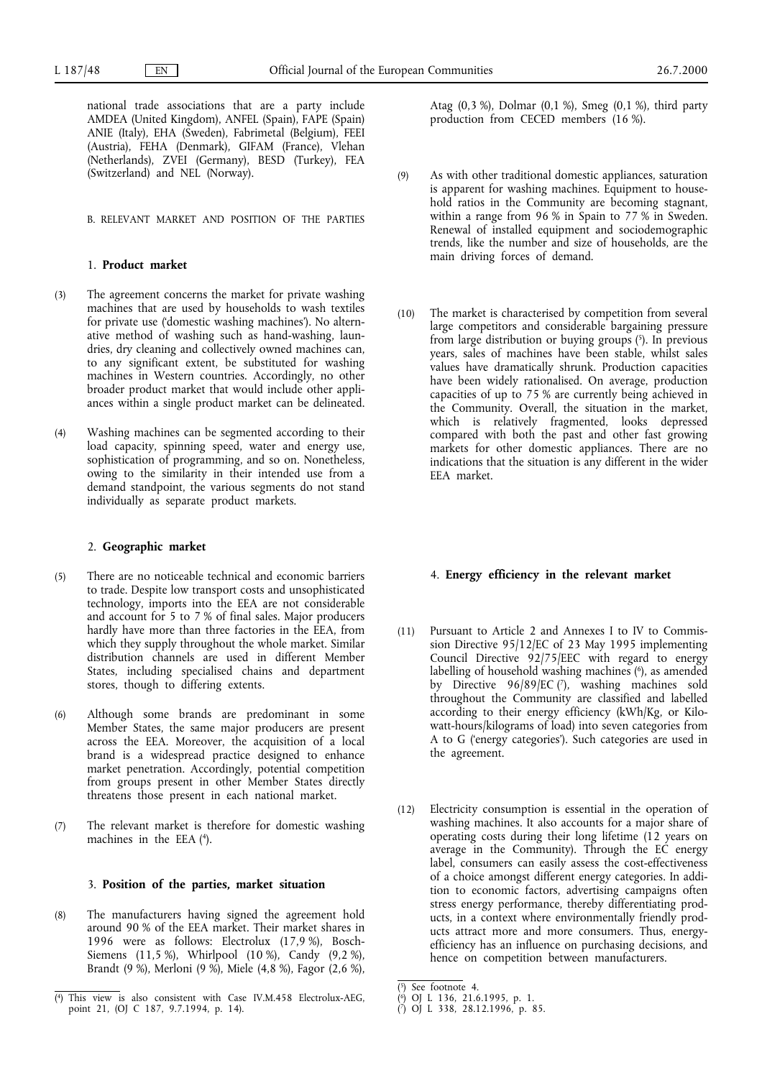national trade associations that are a party include AMDEA (United Kingdom), ANFEL (Spain), FAPE (Spain) ANIE (Italy), EHA (Sweden), Fabrimetal (Belgium), FEEI (Austria), FEHA (Denmark), GIFAM (France), Vlehan (Netherlands), ZVEI (Germany), BESD (Turkey), FEA (Switzerland) and NEL (Norway).

B. RELEVANT MARKET AND POSITION OF THE PARTIES

### 1. **Product market**

- (3) The agreement concerns the market for private washing machines that are used by households to wash textiles for private use ('domestic washing machines'). No alternative method of washing such as hand-washing, laundries, dry cleaning and collectively owned machines can, to any significant extent, be substituted for washing machines in Western countries. Accordingly, no other broader product market that would include other appliances within a single product market can be delineated.
- (4) Washing machines can be segmented according to their load capacity, spinning speed, water and energy use, sophistication of programming, and so on. Nonetheless, owing to the similarity in their intended use from a demand standpoint, the various segments do not stand individually as separate product markets.

### 2. **Geographic market**

- (5) There are no noticeable technical and economic barriers to trade. Despite low transport costs and unsophisticated technology, imports into the EEA are not considerable and account for 5 to 7 % of final sales. Major producers hardly have more than three factories in the EEA, from which they supply throughout the whole market. Similar distribution channels are used in different Member States, including specialised chains and department stores, though to differing extents.
- (6) Although some brands are predominant in some Member States, the same major producers are present across the EEA. Moreover, the acquisition of a local brand is a widespread practice designed to enhance market penetration. Accordingly, potential competition from groups present in other Member States directly threatens those present in each national market.
- (7) The relevant market is therefore for domestic washing machines in the EEA (4).

### 3. **Position of the parties, market situation**

(8) The manufacturers having signed the agreement hold around 90 % of the EEA market. Their market shares in 1996 were as follows: Electrolux (17,9 %), Bosch-Siemens (11,5 %), Whirlpool (10 %), Candy (9,2 %), Brandt (9 %), Merloni (9 %), Miele (4,8 %), Fagor (2,6 %),

Atag (0,3 %), Dolmar (0,1 %), Smeg (0,1 %), third party production from CECED members (16 %).

- (9) As with other traditional domestic appliances, saturation is apparent for washing machines. Equipment to household ratios in the Community are becoming stagnant, within a range from 96 % in Spain to 77 % in Sweden. Renewal of installed equipment and sociodemographic trends, like the number and size of households, are the main driving forces of demand.
- (10) The market is characterised by competition from several large competitors and considerable bargaining pressure from large distribution or buying groups  $(5)$ . In previous years, sales of machines have been stable, whilst sales values have dramatically shrunk. Production capacities have been widely rationalised. On average, production capacities of up to 75 % are currently being achieved in the Community. Overall, the situation in the market, which is relatively fragmented, looks depressed compared with both the past and other fast growing markets for other domestic appliances. There are no indications that the situation is any different in the wider EEA market.

# 4. **Energy efficiency in the relevant market**

- (11) Pursuant to Article 2 and Annexes I to IV to Commission Directive 95/12/EC of 23 May 1995 implementing Council Directive 92/75/EEC with regard to energy labelling of household washing machines (6), as amended by Directive 96/89/EC (7), washing machines sold throughout the Community are classified and labelled according to their energy efficiency (kWh/Kg, or Kilowatt-hours/kilograms of load) into seven categories from A to G ('energy categories'). Such categories are used in the agreement.
- (12) Electricity consumption is essential in the operation of washing machines. It also accounts for a major share of operating costs during their long lifetime (12 years on average in the Community). Through the EC energy label, consumers can easily assess the cost-effectiveness of a choice amongst different energy categories. In addition to economic factors, advertising campaigns often stress energy performance, thereby differentiating products, in a context where environmentally friendly products attract more and more consumers. Thus, energyefficiency has an influence on purchasing decisions, and hence on competition between manufacturers.

<sup>(</sup> 4) This view is also consistent with Case IV.M.458 Electrolux-AEG, point 21, (OJ C 187, 9.7.1994, p. 14).

<sup>(</sup> See footnote 4.

<sup>(</sup> 6) OJ L 136, 21.6.1995, p. 1.

<sup>(</sup> 7) OJ L 338, 28.12.1996, p. 85.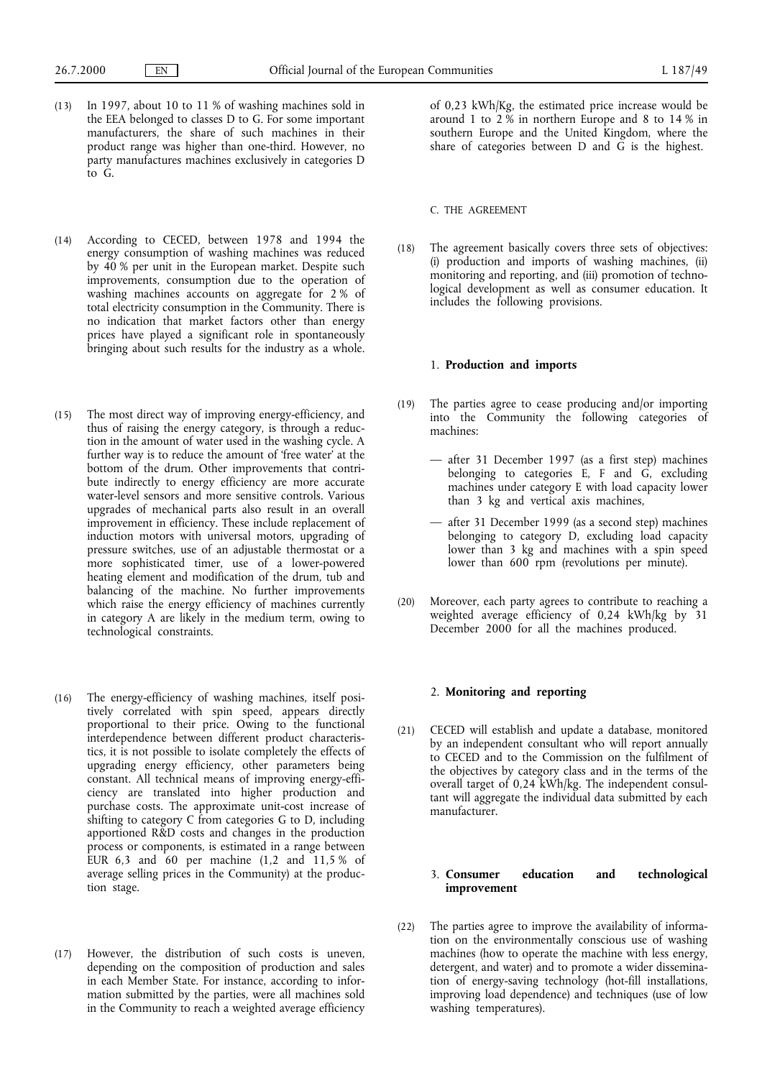- (13) In 1997, about 10 to 11 % of washing machines sold in the EEA belonged to classes D to G. For some important manufacturers, the share of such machines in their product range was higher than one-third. However, no party manufactures machines exclusively in categories D to G.
- (14) According to CECED, between 1978 and 1994 the energy consumption of washing machines was reduced by 40 % per unit in the European market. Despite such improvements, consumption due to the operation of washing machines accounts on aggregate for 2 % of total electricity consumption in the Community. There is no indication that market factors other than energy prices have played a significant role in spontaneously bringing about such results for the industry as a whole.
- (15) The most direct way of improving energy-efficiency, and thus of raising the energy category, is through a reduction in the amount of water used in the washing cycle. A further way is to reduce the amount of 'free water' at the bottom of the drum. Other improvements that contribute indirectly to energy efficiency are more accurate water-level sensors and more sensitive controls. Various upgrades of mechanical parts also result in an overall improvement in efficiency. These include replacement of induction motors with universal motors, upgrading of pressure switches, use of an adjustable thermostat or a more sophisticated timer, use of a lower-powered heating element and modification of the drum, tub and balancing of the machine. No further improvements which raise the energy efficiency of machines currently in category A are likely in the medium term, owing to technological constraints.
- (16) The energy-efficiency of washing machines, itself positively correlated with spin speed, appears directly proportional to their price. Owing to the functional interdependence between different product characteristics, it is not possible to isolate completely the effects of upgrading energy efficiency, other parameters being constant. All technical means of improving energy-efficiency are translated into higher production and purchase costs. The approximate unit-cost increase of shifting to category  $C$  from categories  $G$  to  $D$ , including apportioned R&D costs and changes in the production process or components, is estimated in a range between EUR  $6.3$  and  $60$  per machine  $(1,2)$  and  $11.5\%$  of average selling prices in the Community) at the production stage.
- (17) However, the distribution of such costs is uneven, depending on the composition of production and sales in each Member State. For instance, according to information submitted by the parties, were all machines sold in the Community to reach a weighted average efficiency

of 0,23 kWh/Kg, the estimated price increase would be around 1 to 2 % in northern Europe and 8 to 14 % in southern Europe and the United Kingdom, where the share of categories between D and G is the highest.

### C. THE AGREEMENT

(18) The agreement basically covers three sets of objectives: (i) production and imports of washing machines, (ii) monitoring and reporting, and (iii) promotion of technological development as well as consumer education. It includes the following provisions.

#### 1. **Production and imports**

- (19) The parties agree to cease producing and/or importing into the Community the following categories of machines:
	- after 31 December 1997 (as a first step) machines belonging to categories E, F and G, excluding machines under category E with load capacity lower than 3 kg and vertical axis machines,
	- after 31 December 1999 (as a second step) machines belonging to category D, excluding load capacity lower than 3 kg and machines with a spin speed lower than 600 rpm (revolutions per minute).
- (20) Moreover, each party agrees to contribute to reaching a weighted average efficiency of 0,24 kWh/kg by 31 December 2000 for all the machines produced.

# 2. **Monitoring and reporting**

(21) CECED will establish and update a database, monitored by an independent consultant who will report annually to CECED and to the Commission on the fulfilment of the objectives by category class and in the terms of the overall target of 0,24 kWh/kg. The independent consultant will aggregate the individual data submitted by each manufacturer.

# 3. **Consumer education and technological improvement**

(22) The parties agree to improve the availability of information on the environmentally conscious use of washing machines (how to operate the machine with less energy, detergent, and water) and to promote a wider dissemination of energy-saving technology (hot-fill installations, improving load dependence) and techniques (use of low washing temperatures).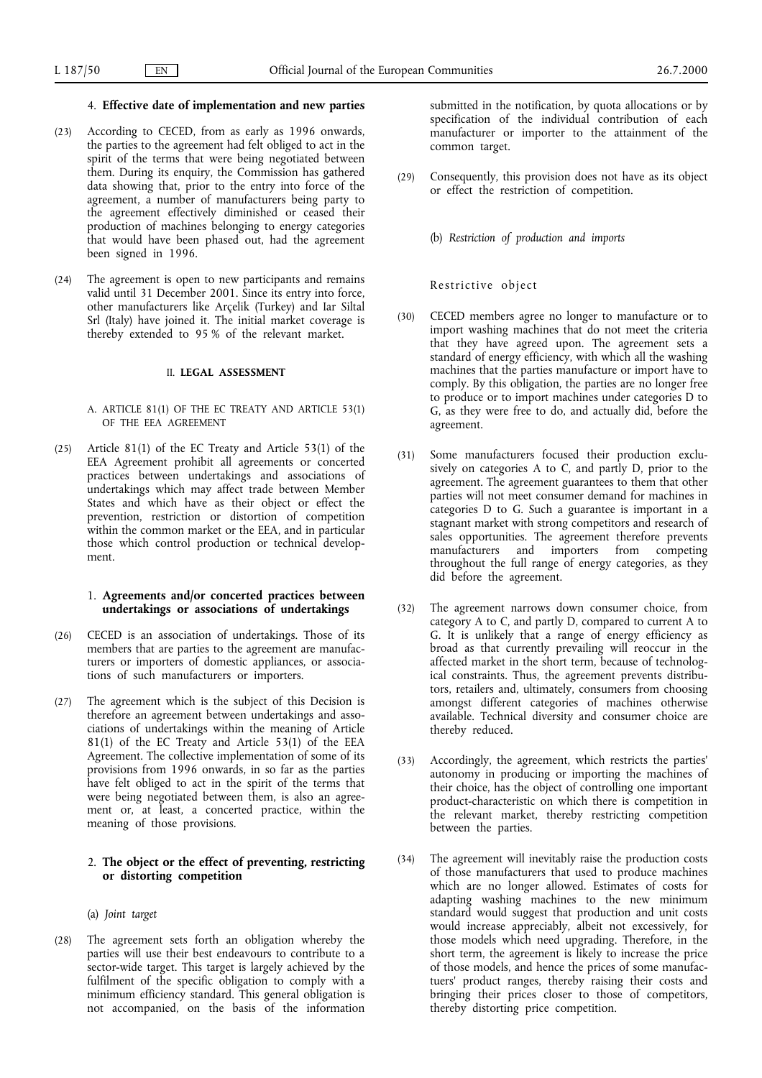# 4. **Effective date of implementation and new parties**

- (23) According to CECED, from as early as 1996 onwards, the parties to the agreement had felt obliged to act in the spirit of the terms that were being negotiated between them. During its enquiry, the Commission has gathered data showing that, prior to the entry into force of the agreement, a number of manufacturers being party to the agreement effectively diminished or ceased their production of machines belonging to energy categories that would have been phased out, had the agreement been signed in 1996.
- (24) The agreement is open to new participants and remains valid until 31 December 2001. Since its entry into force, other manufacturers like Arçelik (Turkey) and Iar Siltal Srl (Italy) have joined it. The initial market coverage is thereby extended to 95 % of the relevant market.

### II. **LEGAL ASSESSMENT**

- A. ARTICLE 81(1) OF THE EC TREATY AND ARTICLE 53(1) OF THE EEA AGREEMENT
- (25) Article 81(1) of the EC Treaty and Article 53(1) of the EEA Agreement prohibit all agreements or concerted practices between undertakings and associations of undertakings which may affect trade between Member States and which have as their object or effect the prevention, restriction or distortion of competition within the common market or the EEA, and in particular those which control production or technical development.

### 1. **Agreements and/or concerted practices between undertakings or associations of undertakings**

- (26) CECED is an association of undertakings. Those of its members that are parties to the agreement are manufacturers or importers of domestic appliances, or associations of such manufacturers or importers.
- (27) The agreement which is the subject of this Decision is therefore an agreement between undertakings and associations of undertakings within the meaning of Article 81(1) of the EC Treaty and Article 53(1) of the EEA Agreement. The collective implementation of some of its provisions from 1996 onwards, in so far as the parties have felt obliged to act in the spirit of the terms that were being negotiated between them, is also an agreement or, at least, a concerted practice, within the meaning of those provisions.

### 2. **The object or the effect of preventing, restricting or distorting competition**

- (a) *Joint target*
- (28) The agreement sets forth an obligation whereby the parties will use their best endeavours to contribute to a sector-wide target. This target is largely achieved by the fulfilment of the specific obligation to comply with a minimum efficiency standard. This general obligation is not accompanied, on the basis of the information

submitted in the notification, by quota allocations or by specification of the individual contribution of each manufacturer or importer to the attainment of the common target.

- (29) Consequently, this provision does not have as its object or effect the restriction of competition.
	- (b) *Restriction of production and imports*

Restrictive object

- (30) CECED members agree no longer to manufacture or to import washing machines that do not meet the criteria that they have agreed upon. The agreement sets a standard of energy efficiency, with which all the washing machines that the parties manufacture or import have to comply. By this obligation, the parties are no longer free to produce or to import machines under categories D to G, as they were free to do, and actually did, before the agreement.
- (31) Some manufacturers focused their production exclusively on categories A to C, and partly D, prior to the agreement. The agreement guarantees to them that other parties will not meet consumer demand for machines in categories D to G. Such a guarantee is important in a stagnant market with strong competitors and research of sales opportunities. The agreement therefore prevents manufacturers and importers from competing throughout the full range of energy categories, as they did before the agreement.
- (32) The agreement narrows down consumer choice, from category A to C, and partly D, compared to current A to G. It is unlikely that a range of energy efficiency as broad as that currently prevailing will reoccur in the affected market in the short term, because of technological constraints. Thus, the agreement prevents distributors, retailers and, ultimately, consumers from choosing amongst different categories of machines otherwise available. Technical diversity and consumer choice are thereby reduced.
- (33) Accordingly, the agreement, which restricts the parties' autonomy in producing or importing the machines of their choice, has the object of controlling one important product-characteristic on which there is competition in the relevant market, thereby restricting competition between the parties.
- (34) The agreement will inevitably raise the production costs of those manufacturers that used to produce machines which are no longer allowed. Estimates of costs for adapting washing machines to the new minimum standard would suggest that production and unit costs would increase appreciably, albeit not excessively, for those models which need upgrading. Therefore, in the short term, the agreement is likely to increase the price of those models, and hence the prices of some manufactuers' product ranges, thereby raising their costs and bringing their prices closer to those of competitors, thereby distorting price competition.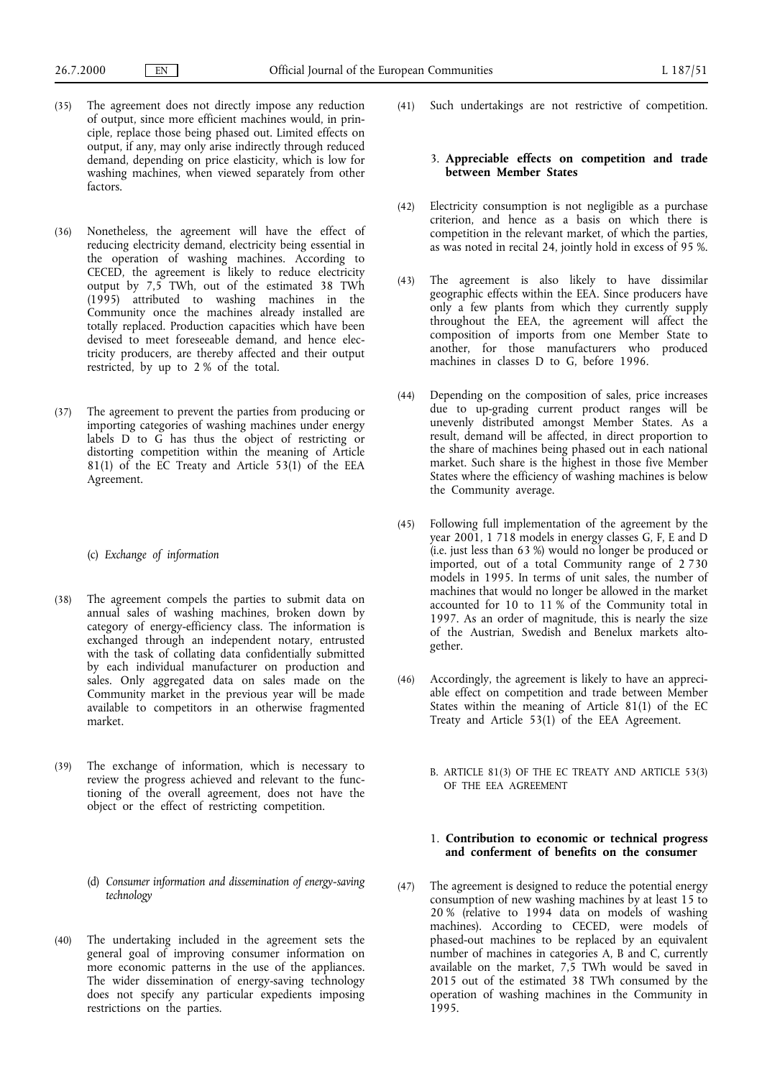- (35) The agreement does not directly impose any reduction of output, since more efficient machines would, in principle, replace those being phased out. Limited effects on output, if any, may only arise indirectly through reduced demand, depending on price elasticity, which is low for washing machines, when viewed separately from other factors.
- (36) Nonetheless, the agreement will have the effect of reducing electricity demand, electricity being essential in the operation of washing machines. According to CECED, the agreement is likely to reduce electricity output by 7,5 TWh, out of the estimated 38 TWh (1995) attributed to washing machines in the Community once the machines already installed are totally replaced. Production capacities which have been devised to meet foreseeable demand, and hence electricity producers, are thereby affected and their output restricted, by up to 2 % of the total.
- (37) The agreement to prevent the parties from producing or importing categories of washing machines under energy labels D to G has thus the object of restricting or distorting competition within the meaning of Article 81(1) of the EC Treaty and Article  $53(1)$  of the EEA Agreement.
	- (c) *Exchange of information*
- (38) The agreement compels the parties to submit data on annual sales of washing machines, broken down by category of energy-efficiency class. The information is exchanged through an independent notary, entrusted with the task of collating data confidentially submitted by each individual manufacturer on production and sales. Only aggregated data on sales made on the Community market in the previous year will be made available to competitors in an otherwise fragmented market.
- (39) The exchange of information, which is necessary to review the progress achieved and relevant to the functioning of the overall agreement, does not have the object or the effect of restricting competition.
	- (d) *Consumer information and dissemination of energy-saving technology*
- (40) The undertaking included in the agreement sets the general goal of improving consumer information on more economic patterns in the use of the appliances. The wider dissemination of energy-saving technology does not specify any particular expedients imposing restrictions on the parties.

(41) Such undertakings are not restrictive of competition.

### 3. **Appreciable effects on competition and trade between Member States**

- (42) Electricity consumption is not negligible as a purchase criterion, and hence as a basis on which there is competition in the relevant market, of which the parties, as was noted in recital 24, jointly hold in excess of 95 %.
- (43) The agreement is also likely to have dissimilar geographic effects within the EEA. Since producers have only a few plants from which they currently supply throughout the EEA, the agreement will affect the composition of imports from one Member State to another, for those manufacturers who produced machines in classes D to G, before 1996.
- (44) Depending on the composition of sales, price increases due to up-grading current product ranges will be unevenly distributed amongst Member States. As a result, demand will be affected, in direct proportion to the share of machines being phased out in each national market. Such share is the highest in those five Member States where the efficiency of washing machines is below the Community average.
- (45) Following full implementation of the agreement by the year 2001, 1 718 models in energy classes G, F, E and D (i.e. just less than 63 %) would no longer be produced or imported, out of a total Community range of 2 730 models in 1995. In terms of unit sales, the number of machines that would no longer be allowed in the market accounted for 10 to 11 % of the Community total in 1997. As an order of magnitude, this is nearly the size of the Austrian, Swedish and Benelux markets altogether.
- (46) Accordingly, the agreement is likely to have an appreciable effect on competition and trade between Member States within the meaning of Article 81(1) of the EC Treaty and Article 53(1) of the EEA Agreement.
	- B. ARTICLE 81(3) OF THE EC TREATY AND ARTICLE 53(3) OF THE EEA AGREEMENT

# 1. **Contribution to economic or technical progress and conferment of benefits on the consumer**

(47) The agreement is designed to reduce the potential energy consumption of new washing machines by at least 15 to 20 % (relative to 1994 data on models of washing machines). According to CECED, were models of phased-out machines to be replaced by an equivalent number of machines in categories A, B and C, currently available on the market, 7,5 TWh would be saved in 2015 out of the estimated 38 TWh consumed by the operation of washing machines in the Community in 1995.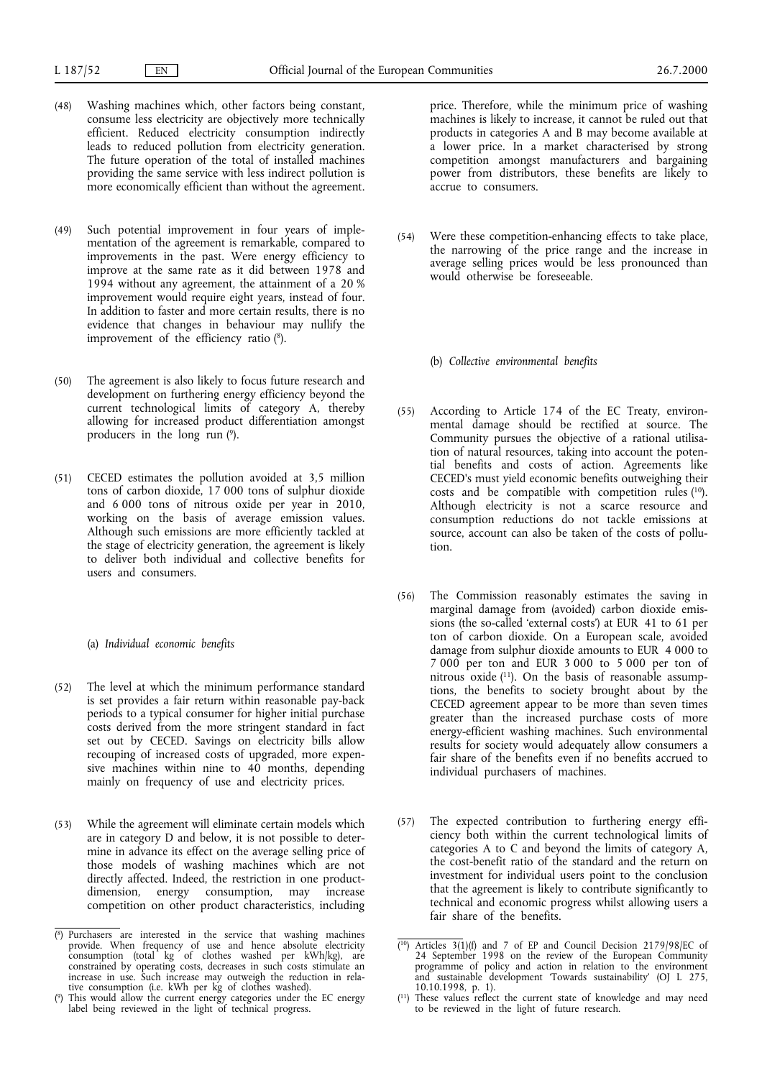- (48) Washing machines which, other factors being constant, consume less electricity are objectively more technically efficient. Reduced electricity consumption indirectly leads to reduced pollution from electricity generation. The future operation of the total of installed machines providing the same service with less indirect pollution is more economically efficient than without the agreement.
- (49) Such potential improvement in four years of implementation of the agreement is remarkable, compared to improvements in the past. Were energy efficiency to improve at the same rate as it did between 1978 and 1994 without any agreement, the attainment of a 20 % improvement would require eight years, instead of four. In addition to faster and more certain results, there is no evidence that changes in behaviour may nullify the improvement of the efficiency ratio (8).
- (50) The agreement is also likely to focus future research and development on furthering energy efficiency beyond the current technological limits of category A, thereby allowing for increased product differentiation amongst producers in the long run (9).
- (51) CECED estimates the pollution avoided at 3,5 million tons of carbon dioxide, 17 000 tons of sulphur dioxide and 6 000 tons of nitrous oxide per year in 2010, working on the basis of average emission values. Although such emissions are more efficiently tackled at the stage of electricity generation, the agreement is likely to deliver both individual and collective benefits for users and consumers.

- (52) The level at which the minimum performance standard is set provides a fair return within reasonable pay-back periods to a typical consumer for higher initial purchase costs derived from the more stringent standard in fact set out by CECED. Savings on electricity bills allow recouping of increased costs of upgraded, more expensive machines within nine to 40 months, depending mainly on frequency of use and electricity prices.
- (53) While the agreement will eliminate certain models which are in category D and below, it is not possible to determine in advance its effect on the average selling price of those models of washing machines which are not directly affected. Indeed, the restriction in one product-<br>dimension, energy consumption, may increase dimension, energy consumption, may competition on other product characteristics, including

price. Therefore, while the minimum price of washing machines is likely to increase, it cannot be ruled out that products in categories A and B may become available at a lower price. In a market characterised by strong competition amongst manufacturers and bargaining power from distributors, these benefits are likely to accrue to consumers.

- (54) Were these competition-enhancing effects to take place, the narrowing of the price range and the increase in average selling prices would be less pronounced than would otherwise be foreseeable.
	- (b) *Collective environmental benefits*
- (55) According to Article 174 of the EC Treaty, environmental damage should be rectified at source. The Community pursues the objective of a rational utilisation of natural resources, taking into account the potential benefits and costs of action. Agreements like CECED's must yield economic benefits outweighing their costs and be compatible with competition rules (10). Although electricity is not a scarce resource and consumption reductions do not tackle emissions at source, account can also be taken of the costs of pollution.
- (56) The Commission reasonably estimates the saving in marginal damage from (avoided) carbon dioxide emissions (the so-called 'external costs') at EUR 41 to 61 per ton of carbon dioxide. On a European scale, avoided damage from sulphur dioxide amounts to EUR 4 000 to 7 000 per ton and EUR 3 000 to 5 000 per ton of nitrous oxide (11). On the basis of reasonable assumptions, the benefits to society brought about by the CECED agreement appear to be more than seven times greater than the increased purchase costs of more energy-efficient washing machines. Such environmental results for society would adequately allow consumers a fair share of the benefits even if no benefits accrued to individual purchasers of machines.
- (57) The expected contribution to furthering energy efficiency both within the current technological limits of categories A to C and beyond the limits of category A, the cost-benefit ratio of the standard and the return on investment for individual users point to the conclusion that the agreement is likely to contribute significantly to technical and economic progress whilst allowing users a fair share of the benefits.

<sup>(</sup>a) *Individual economic benefits*

<sup>(</sup> 8) Purchasers are interested in the service that washing machines provide. When frequency of use and hence absolute electricity consumption (total kg of clothes washed per kWh/kg), are constrained by operating costs, decreases in such costs stimulate an increase in use. Such increase may outweigh the reduction in relative consumption (i.e. kWh per kg of clothes washed).

<sup>(</sup> 9) This would allow the current energy categories under the EC energy label being reviewed in the light of technical progress.

 $(10)$  Articles 3(1)(f) and 7 of EP and Council Decision 2179/98/EC of 24 September 1998 on the review of the European Community programme of policy and action in relation to the environment and sustainable development 'Towards sustainability' (OJ L 275, 10.10.1998, p. 1).

<sup>(</sup> 11) These values reflect the current state of knowledge and may need to be reviewed in the light of future research.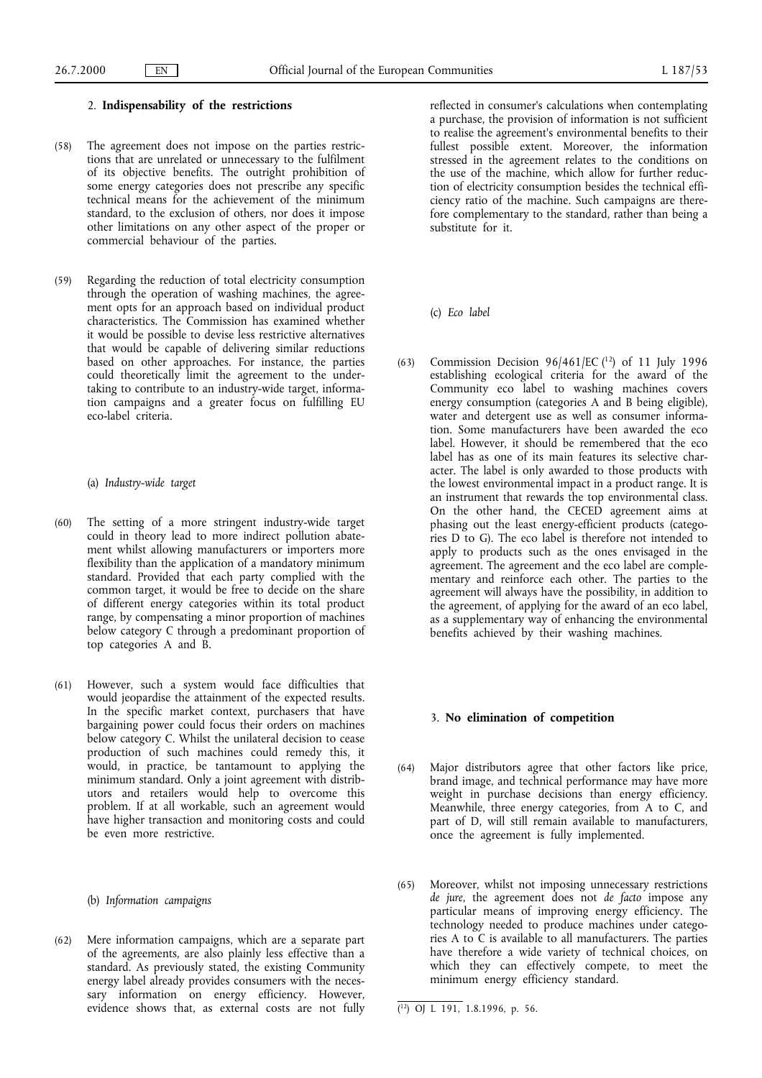# 2. **Indispensability of the restrictions**

- (58) The agreement does not impose on the parties restrictions that are unrelated or unnecessary to the fulfilment of its objective benefits. The outright prohibition of some energy categories does not prescribe any specific technical means for the achievement of the minimum standard, to the exclusion of others, nor does it impose other limitations on any other aspect of the proper or commercial behaviour of the parties.
- (59) Regarding the reduction of total electricity consumption through the operation of washing machines, the agreement opts for an approach based on individual product characteristics. The Commission has examined whether it would be possible to devise less restrictive alternatives that would be capable of delivering similar reductions based on other approaches. For instance, the parties could theoretically limit the agreement to the undertaking to contribute to an industry-wide target, information campaigns and a greater focus on fulfilling EU eco-label criteria.

# (a) *Industry-wide target*

- (60) The setting of a more stringent industry-wide target could in theory lead to more indirect pollution abatement whilst allowing manufacturers or importers more flexibility than the application of a mandatory minimum standard. Provided that each party complied with the common target, it would be free to decide on the share of different energy categories within its total product range, by compensating a minor proportion of machines below category C through a predominant proportion of top categories A and B.
- (61) However, such a system would face difficulties that would jeopardise the attainment of the expected results. In the specific market context, purchasers that have bargaining power could focus their orders on machines below category C. Whilst the unilateral decision to cease production of such machines could remedy this, it would, in practice, be tantamount to applying the minimum standard. Only a joint agreement with distributors and retailers would help to overcome this problem. If at all workable, such an agreement would have higher transaction and monitoring costs and could be even more restrictive.

(b) *Information campaigns*

(62) Mere information campaigns, which are a separate part of the agreements, are also plainly less effective than a standard. As previously stated, the existing Community energy label already provides consumers with the necessary information on energy efficiency. However, evidence shows that, as external costs are not fully

reflected in consumer's calculations when contemplating a purchase, the provision of information is not sufficient to realise the agreement's environmental benefits to their fullest possible extent. Moreover, the information stressed in the agreement relates to the conditions on the use of the machine, which allow for further reduction of electricity consumption besides the technical efficiency ratio of the machine. Such campaigns are therefore complementary to the standard, rather than being a substitute for it.

(c) *Eco label*

(63) Commission Decision 96/461/EC (12) of 11 July 1996 establishing ecological criteria for the award of the Community eco label to washing machines covers energy consumption (categories A and B being eligible), water and detergent use as well as consumer information. Some manufacturers have been awarded the eco label. However, it should be remembered that the eco label has as one of its main features its selective character. The label is only awarded to those products with the lowest environmental impact in a product range. It is an instrument that rewards the top environmental class. On the other hand, the CECED agreement aims at phasing out the least energy-efficient products (categories D to G). The eco label is therefore not intended to apply to products such as the ones envisaged in the agreement. The agreement and the eco label are complementary and reinforce each other. The parties to the agreement will always have the possibility, in addition to the agreement, of applying for the award of an eco label, as a supplementary way of enhancing the environmental benefits achieved by their washing machines.

#### 3. **No elimination of competition**

- (64) Major distributors agree that other factors like price, brand image, and technical performance may have more weight in purchase decisions than energy efficiency. Meanwhile, three energy categories, from A to C, and part of D, will still remain available to manufacturers, once the agreement is fully implemented.
- (65) Moreover, whilst not imposing unnecessary restrictions *de jure*, the agreement does not *de facto* impose any particular means of improving energy efficiency. The technology needed to produce machines under categories A to C is available to all manufacturers. The parties have therefore a wide variety of technical choices, on which they can effectively compete, to meet the minimum energy efficiency standard.

<sup>(</sup> 12) OJ L 191, 1.8.1996, p. 56.